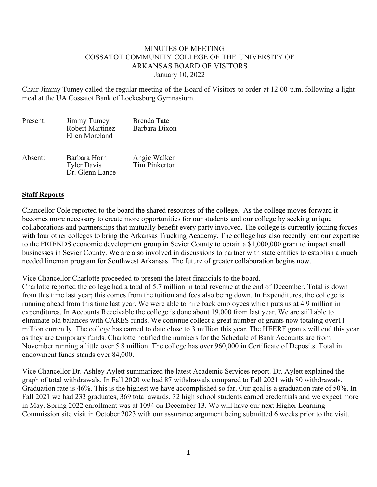## MINUTES OF MEETING COSSATOT COMMUNITY COLLEGE OF THE UNIVERSITY OF ARKANSAS BOARD OF VISITORS January 10, 2022

Chair Jimmy Tumey called the regular meeting of the Board of Visitors to order at 12:00 p.m. following a light meal at the UA Cossatot Bank of Lockesburg Gymnasium.

| Present: | Jimmy Tumey<br><b>Robert Martinez</b><br>Ellen Moreland | Brenda Tate<br>Barbara Dixon  |
|----------|---------------------------------------------------------|-------------------------------|
| Absent:  | Barbara Horn<br><b>Tyler Davis</b><br>Dr. Glenn Lance   | Angie Walker<br>Tim Pinkerton |

## **Staff Reports**

Chancellor Cole reported to the board the shared resources of the college. As the college moves forward it becomes more necessary to create more opportunities for our students and our college by seeking unique collaborations and partnerships that mutually benefit every party involved. The college is currently joining forces with four other colleges to bring the Arkansas Trucking Academy. The college has also recently lent our expertise to the FRIENDS economic development group in Sevier County to obtain a \$1,000,000 grant to impact small businesses in Sevier County. We are also involved in discussions to partner with state entities to establish a much needed lineman program for Southwest Arkansas. The future of greater collaboration begins now.

Vice Chancellor Charlotte proceeded to present the latest financials to the board.

Charlotte reported the college had a total of 5.7 million in total revenue at the end of December. Total is down from this time last year; this comes from the tuition and fees also being down. In Expenditures, the college is running ahead from this time last year. We were able to hire back employees which puts us at 4.9 million in expenditures. In Accounts Receivable the college is done about 19,000 from last year. We are still able to eliminate old balances with CARES funds. We continue collect a great number of grants now totaling over11 million currently. The college has earned to date close to 3 million this year. The HEERF grants will end this year as they are temporary funds. Charlotte notified the numbers for the Schedule of Bank Accounts are from November running a little over 5.8 million. The college has over 960,000 in Certificate of Deposits. Total in endowment funds stands over 84,000.

Vice Chancellor Dr. Ashley Aylett summarized the latest Academic Services report. Dr. Aylett explained the graph of total withdrawals. In Fall 2020 we had 87 withdrawals compared to Fall 2021 with 80 withdrawals. Graduation rate is 46%. This is the highest we have accomplished so far. Our goal is a graduation rate of 50%. In Fall 2021 we had 233 graduates, 369 total awards. 32 high school students earned credentials and we expect more in May. Spring 2022 enrollment was at 1094 on December 13. We will have our next Higher Learning Commission site visit in October 2023 with our assurance argument being submitted 6 weeks prior to the visit.